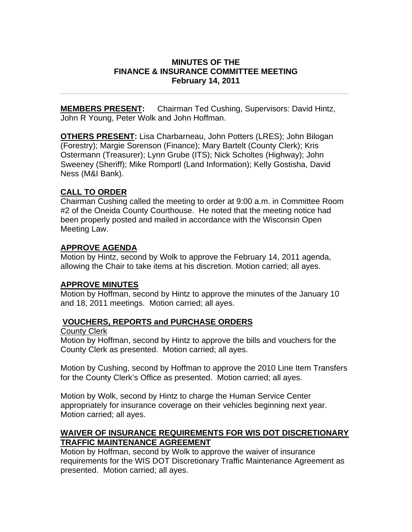#### **MINUTES OF THE FINANCE & INSURANCE COMMITTEE MEETING February 14, 2011**

**\_\_\_\_\_\_\_\_\_\_\_\_\_\_\_\_\_\_\_\_\_\_\_\_\_\_\_\_\_\_\_\_\_\_\_\_\_\_\_\_\_\_\_\_\_\_\_\_\_\_\_\_\_\_\_\_\_\_\_\_\_\_\_\_** 

**MEMBERS PRESENT:** Chairman Ted Cushing, Supervisors: David Hintz, John R Young, Peter Wolk and John Hoffman.

**OTHERS PRESENT:** Lisa Charbarneau, John Potters (LRES); John Bilogan (Forestry); Margie Sorenson (Finance); Mary Bartelt (County Clerk); Kris Ostermann (Treasurer); Lynn Grube (ITS); Nick Scholtes (Highway); John Sweeney (Sheriff); Mike Romportl (Land Information); Kelly Gostisha, David Ness (M&I Bank).

### **CALL TO ORDER**

Chairman Cushing called the meeting to order at 9:00 a.m. in Committee Room #2 of the Oneida County Courthouse. He noted that the meeting notice had been properly posted and mailed in accordance with the Wisconsin Open Meeting Law.

### **APPROVE AGENDA**

Motion by Hintz, second by Wolk to approve the February 14, 2011 agenda, allowing the Chair to take items at his discretion. Motion carried; all ayes.

## **APPROVE MINUTES**

Motion by Hoffman, second by Hintz to approve the minutes of the January 10 and 18, 2011 meetings. Motion carried; all ayes.

## **VOUCHERS, REPORTS and PURCHASE ORDERS**

#### County Clerk

Motion by Hoffman, second by Hintz to approve the bills and vouchers for the County Clerk as presented. Motion carried; all ayes.

Motion by Cushing, second by Hoffman to approve the 2010 Line Item Transfers for the County Clerk's Office as presented. Motion carried; all ayes.

Motion by Wolk, second by Hintz to charge the Human Service Center appropriately for insurance coverage on their vehicles beginning next year. Motion carried; all ayes.

### **WAIVER OF INSURANCE REQUIREMENTS FOR WIS DOT DISCRETIONARY TRAFFIC MAINTENANCE AGREEMENT**

Motion by Hoffman, second by Wolk to approve the waiver of insurance requirements for the WIS DOT Discretionary Traffic Maintenance Agreement as presented. Motion carried; all ayes.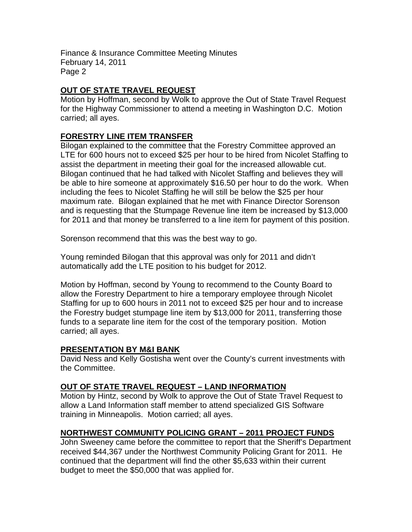# **OUT OF STATE TRAVEL REQUEST**

Motion by Hoffman, second by Wolk to approve the Out of State Travel Request for the Highway Commissioner to attend a meeting in Washington D.C. Motion carried; all ayes.

## **FORESTRY LINE ITEM TRANSFER**

Bilogan explained to the committee that the Forestry Committee approved an LTE for 600 hours not to exceed \$25 per hour to be hired from Nicolet Staffing to assist the department in meeting their goal for the increased allowable cut. Bilogan continued that he had talked with Nicolet Staffing and believes they will be able to hire someone at approximately \$16.50 per hour to do the work. When including the fees to Nicolet Staffing he will still be below the \$25 per hour maximum rate. Bilogan explained that he met with Finance Director Sorenson and is requesting that the Stumpage Revenue line item be increased by \$13,000 for 2011 and that money be transferred to a line item for payment of this position.

Sorenson recommend that this was the best way to go.

Young reminded Bilogan that this approval was only for 2011 and didn't automatically add the LTE position to his budget for 2012.

Motion by Hoffman, second by Young to recommend to the County Board to allow the Forestry Department to hire a temporary employee through Nicolet Staffing for up to 600 hours in 2011 not to exceed \$25 per hour and to increase the Forestry budget stumpage line item by \$13,000 for 2011, transferring those funds to a separate line item for the cost of the temporary position. Motion carried; all ayes.

## **PRESENTATION BY M&I BANK**

David Ness and Kelly Gostisha went over the County's current investments with the Committee.

#### **OUT OF STATE TRAVEL REQUEST – LAND INFORMATION**

Motion by Hintz, second by Wolk to approve the Out of State Travel Request to allow a Land Information staff member to attend specialized GIS Software training in Minneapolis. Motion carried; all ayes.

## **NORTHWEST COMMUNITY POLICING GRANT – 2011 PROJECT FUNDS**

John Sweeney came before the committee to report that the Sheriff's Department received \$44,367 under the Northwest Community Policing Grant for 2011. He continued that the department will find the other \$5,633 within their current budget to meet the \$50,000 that was applied for.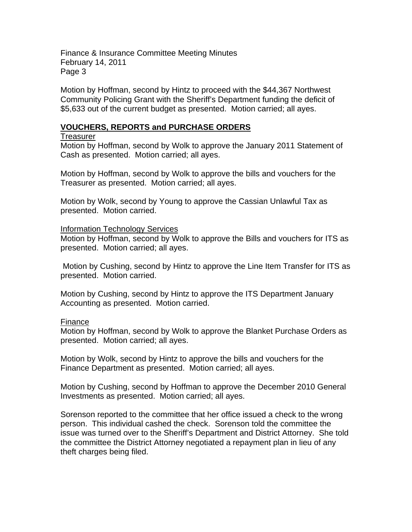Motion by Hoffman, second by Hintz to proceed with the \$44,367 Northwest Community Policing Grant with the Sheriff's Department funding the deficit of \$5,633 out of the current budget as presented. Motion carried; all ayes.

#### **VOUCHERS, REPORTS and PURCHASE ORDERS**

#### **Treasurer**

Motion by Hoffman, second by Wolk to approve the January 2011 Statement of Cash as presented. Motion carried; all ayes.

Motion by Hoffman, second by Wolk to approve the bills and vouchers for the Treasurer as presented. Motion carried; all ayes.

Motion by Wolk, second by Young to approve the Cassian Unlawful Tax as presented. Motion carried.

#### Information Technology Services

Motion by Hoffman, second by Wolk to approve the Bills and vouchers for ITS as presented. Motion carried; all ayes.

 Motion by Cushing, second by Hintz to approve the Line Item Transfer for ITS as presented. Motion carried.

Motion by Cushing, second by Hintz to approve the ITS Department January Accounting as presented. Motion carried.

#### Finance

Motion by Hoffman, second by Wolk to approve the Blanket Purchase Orders as presented. Motion carried; all ayes.

Motion by Wolk, second by Hintz to approve the bills and vouchers for the Finance Department as presented. Motion carried; all ayes.

Motion by Cushing, second by Hoffman to approve the December 2010 General Investments as presented. Motion carried; all ayes.

Sorenson reported to the committee that her office issued a check to the wrong person. This individual cashed the check. Sorenson told the committee the issue was turned over to the Sheriff's Department and District Attorney. She told the committee the District Attorney negotiated a repayment plan in lieu of any theft charges being filed.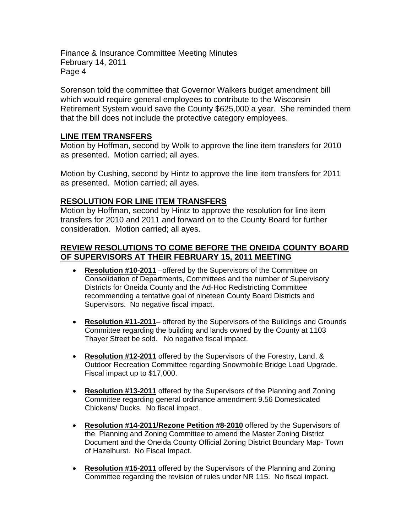Sorenson told the committee that Governor Walkers budget amendment bill which would require general employees to contribute to the Wisconsin Retirement System would save the County \$625,000 a year. She reminded them that the bill does not include the protective category employees.

#### **LINE ITEM TRANSFERS**

Motion by Hoffman, second by Wolk to approve the line item transfers for 2010 as presented. Motion carried; all ayes.

Motion by Cushing, second by Hintz to approve the line item transfers for 2011 as presented. Motion carried; all ayes.

## **RESOLUTION FOR LINE ITEM TRANSFERS**

Motion by Hoffman, second by Hintz to approve the resolution for line item transfers for 2010 and 2011 and forward on to the County Board for further consideration. Motion carried; all ayes.

### **REVIEW RESOLUTIONS TO COME BEFORE THE ONEIDA COUNTY BOARD OF SUPERVISORS AT THEIR FEBRUARY 15, 2011 MEETING**

- **Resolution #10-2011** –offered by the Supervisors of the Committee on Consolidation of Departments, Committees and the number of Supervisory Districts for Oneida County and the Ad-Hoc Redistricting Committee recommending a tentative goal of nineteen County Board Districts and Supervisors. No negative fiscal impact.
- **Resolution #11-2011** offered by the Supervisors of the Buildings and Grounds Committee regarding the building and lands owned by the County at 1103 Thayer Street be sold. No negative fiscal impact.
- **Resolution #12-2011** offered by the Supervisors of the Forestry, Land, & Outdoor Recreation Committee regarding Snowmobile Bridge Load Upgrade. Fiscal impact up to \$17,000.
- **Resolution #13-2011** offered by the Supervisors of the Planning and Zoning Committee regarding general ordinance amendment 9.56 Domesticated Chickens/ Ducks. No fiscal impact.
- **Resolution #14-2011/Rezone Petition #8-2010** offered by the Supervisors of the Planning and Zoning Committee to amend the Master Zoning District Document and the Oneida County Official Zoning District Boundary Map- Town of Hazelhurst. No Fiscal Impact.
- **Resolution #15-2011** offered by the Supervisors of the Planning and Zoning Committee regarding the revision of rules under NR 115. No fiscal impact.